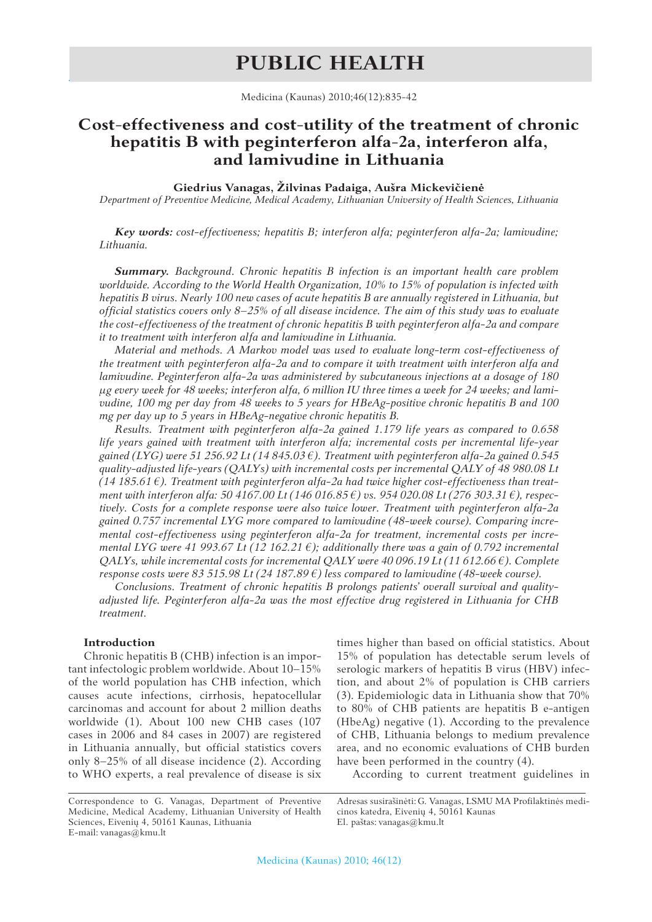# **PUBLIC HEALTH**

Medicina (Kaunas) 2010;46(12):835-42

# **Cost-effectiveness and cost-utility of the treatment of chronic hepatitis B with peginterferon alfa-2a, interferon alfa, and lamivudine in Lithuania**

**Giedrius Vanagas, Žilvinas Padaiga, Aušra Mickevičienė**

*Department of Preventive Medicine, Medical Academy, Lithuanian University of Health Sciences, Lithuania*

*Key words: cost-effectiveness; hepatitis B; interferon alfa; peginterferon alfa-2a; lamivudine; Lithuania.*

*Summary. Background. Chronic hepatitis B infection is an important health care problem worldwide. According to the World Health Organization, 10% to 15% of population is infected with hepatitis B virus. Nearly 100 new cases of acute hepatitis B are annually registered in Lithuania, but official statistics covers only 8–25% of all disease incidence. The aim of this study was to evaluate the cost-effectiveness of the treatment of chronic hepatitis B with peginterferon alfa-2a and compare it to treatment with interferon alfa and lamivudine in Lithuania.*

*Material and methods. A Markov model was used to evaluate long-term cost-effectiveness of the treatment with peginterferon alfa-2a and to compare it with treatment with interferon alfa and lamivudine. Peginterferon alfa-2a was administered by subcutaneous injections at a dosage of 180 μg every week for 48 weeks; interferon alfa, 6 million IU three times a week for 24 weeks; and lamivudine, 100 mg per day from 48 weeks to 5 years for HBeAg-positive chronic hepatitis B and 100 mg per day up to 5 years in HBeAg-negative chronic hepatitis B.*

*Results. Treatment with peginterferon alfa-2a gained 1.179 life years as compared to 0.658 life years gained with treatment with interferon alfa; incremental costs per incremental life-year gained (LYG) were 51 256.92 Lt (14 845.03 €). Treatment with peginterferon alfa-2a gained 0.545 quality-adjusted life-years (QALYs) with incremental costs per incremental QALY of 48 980.08 Lt (14 185.61 €). Treatment with peginterferon alfa-2a had twice higher cost-effectiveness than treatment with interferon alfa: 50 4167.00 Lt (146 016.85 €) vs. 954 020.08 Lt (276 303.31 €), respectively. Costs for a complete response were also twice lower. Treatment with peginterferon alfa-2a gained 0.757 incremental LYG more compared to lamivudine (48-week course). Comparing incremental cost-effectiveness using peginterferon alfa-2a for treatment, incremental costs per incremental LYG were 41 993.67 Lt (12 162.21*  $\epsilon$ *); additionally there was a gain of 0.792 incremental QALYs, while incremental costs for incremental QALY were 40 096.19 Lt (11 612.66 €). Complete response costs were 83 515.98 Lt (24 187.89 €) less compared to lamivudine (48-week course).*

*Conclusions. Treatment of chronic hepatitis B prolongs patients' overall survival and qualityadjusted life. Peginterferon alfa-2a was the most effective drug registered in Lithuania for CHB treatment.*

# **Introduction**

Chronic hepatitis B (CHB) infection is an important infectologic problem worldwide. About 10–15% of the world population has CHB infection, which causes acute infections, cirrhosis, hepatocellular carcinomas and account for about 2 million deaths worldwide (1). About 100 new CHB cases (107 cases in 2006 and 84 cases in 2007) are registered in Lithuania annually, but official statistics covers only 8–25% of all disease incidence (2). According to WHO experts, a real prevalence of disease is six

times higher than based on official statistics. About 15% of population has detectable serum levels of serologic markers of hepatitis B virus (HBV) infection, and about 2% of population is CHB carriers (3). Epidemiologic data in Lithuania show that 70% to 80% of CHB patients are hepatitis B e-antigen (HbeAg) negative (1). According to the prevalence of CHB, Lithuania belongs to medium prevalence area, and no economic evaluations of CHB burden have been performed in the country (4).

According to current treatment guidelines in

Correspondence to G. Vanagas, Department of Preventive Medicine, Medical Academy, Lithuanian University of Health Sciences, Eivenių 4, 50161 Kaunas, Lithuania E-mail: vanagas@kmu.lt

Adresas susirašinėti: G. Vanagas, LSMU MA Profilaktinės medicinos katedra, Eivenių 4, 50161 Kaunas El. paštas: vanagas@kmu.lt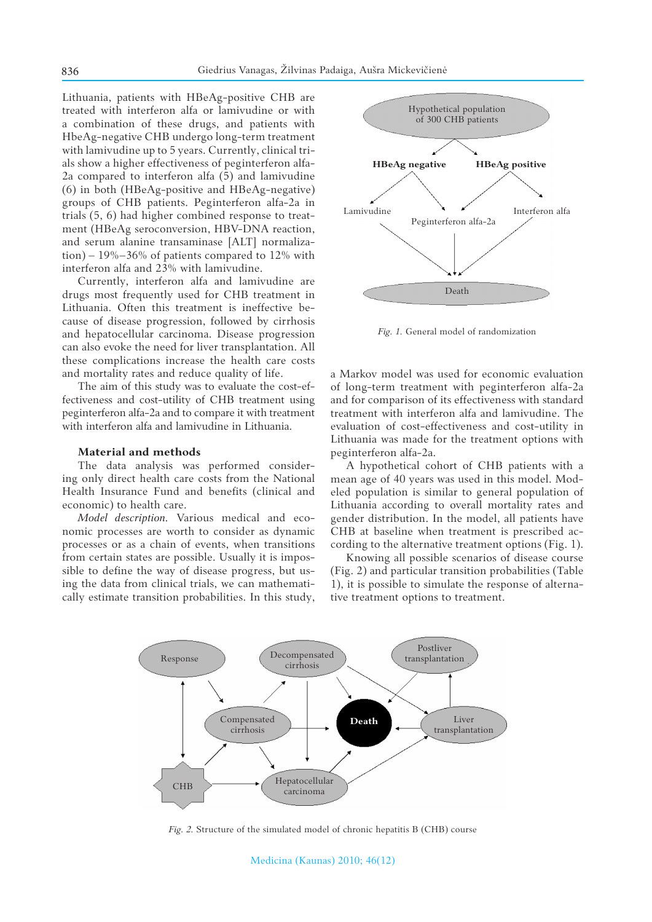Lithuania, patients with HBeAg-positive CHB are treated with interferon alfa or lamivudine or with a combination of these drugs, and patients with HbeAg-negative CHB undergo long-term treatment with lamivudine up to 5 years. Currently, clinical trials show a higher effectiveness of peginterferon alfa-2a compared to interferon alfa (5) and lamivudine (6) in both (HBeAg-positive and HBeAg-negative) groups of CHB patients. Peginterferon alfa-2a in trials (5, 6) had higher combined response to treatment (HBeAg seroconversion, HBV-DNA reaction, and serum alanine transaminase [ALT] normalization) –  $19\% - 36\%$  of patients compared to  $12\%$  with interferon alfa and 23% with lamivudine.

Currently, interferon alfa and lamivudine are drugs most frequently used for CHB treatment in Lithuania. Often this treatment is ineffective because of disease progression, followed by cirrhosis and hepatocellular carcinoma. Disease progression can also evoke the need for liver transplantation. All these complications increase the health care costs and mortality rates and reduce quality of life.

The aim of this study was to evaluate the cost-effectiveness and cost-utility of CHB treatment using peginterferon alfa-2a and to compare it with treatment with interferon alfa and lamivudine in Lithuania.

### **Material and methods**

The data analysis was performed considering only direct health care costs from the National Health Insurance Fund and benefits (clinical and economic) to health care.

*Model description.* Various medical and economic processes are worth to consider as dynamic processes or as a chain of events, when transitions from certain states are possible. Usually it is impossible to define the way of disease progress, but using the data from clinical trials, we can mathematically estimate transition probabilities. In this study,



*Fig. 1.* General model of randomization

a Markov model was used for economic evaluation of long-term treatment with peginterferon alfa-2a and for comparison of its effectiveness with standard treatment with interferon alfa and lamivudine. The evaluation of cost-effectiveness and cost-utility in Lithuania was made for the treatment options with peginterferon alfa-2a.

A hypothetical cohort of CHB patients with a mean age of 40 years was used in this model. Modeled population is similar to general population of Lithuania according to overall mortality rates and gender distribution. In the model, all patients have CHB at baseline when treatment is prescribed according to the alternative treatment options (Fig. 1).

Knowing all possible scenarios of disease course (Fig. 2) and particular transition probabilities (Table 1), it is possible to simulate the response of alternative treatment options to treatment.



*Fig. 2.* Structure of the simulated model of chronic hepatitis B (CHB) course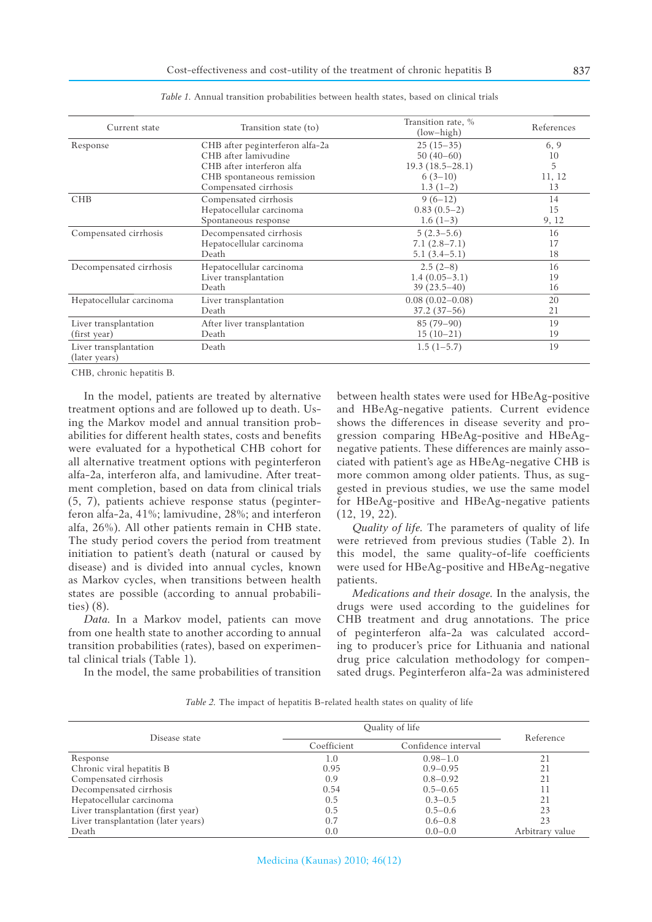| Transition state (to)           | $(low-high)$                                                                                                                         | References         |
|---------------------------------|--------------------------------------------------------------------------------------------------------------------------------------|--------------------|
| CHB after peginterferon alfa-2a | $25(15-35)$                                                                                                                          | 6, 9               |
| CHB after lamivudine            | $50(40-60)$                                                                                                                          | 10                 |
| CHB after interferon alfa       | $19.3(18.5-28.1)$                                                                                                                    | 5                  |
| CHB spontaneous remission       | $6(3-10)$                                                                                                                            | 11, 12             |
| Compensated cirrhosis           | $1.3(1-2)$                                                                                                                           | 13                 |
|                                 | $9(6-12)$                                                                                                                            | 14                 |
| Hepatocellular carcinoma        | $0.83(0.5-2)$                                                                                                                        | 15                 |
| Spontaneous response            | $1.6(1-3)$                                                                                                                           | 9, 12              |
|                                 | $5(2.3-5.6)$                                                                                                                         | 16                 |
|                                 | $7.1(2.8-7.1)$                                                                                                                       | 17                 |
| Death                           | $5.1(3.4-5.1)$                                                                                                                       | 18                 |
| Hepatocellular carcinoma        | $2.5(2-8)$                                                                                                                           | 16                 |
|                                 | $1.4(0.05-3.1)$                                                                                                                      | 19                 |
| Death                           | $39(23.5-40)$                                                                                                                        | 16                 |
| Liver transplantation           | $0.08(0.02 - 0.08)$                                                                                                                  | 20                 |
| Death                           | $37.2(37-56)$                                                                                                                        | 21                 |
|                                 | $85(79-90)$                                                                                                                          | 19                 |
| Death                           | $15(10-21)$                                                                                                                          | 19                 |
| Death                           | $1.5(1-5.7)$                                                                                                                         | 19                 |
|                                 | Compensated cirrhosis<br>Decompensated cirrhosis<br>Hepatocellular carcinoma<br>Liver transplantation<br>After liver transplantation | Transition rate, % |

*Table 1.* Annual transition probabilities between health states, based on clinical trials

CHB, chronic hepatitis B.

In the model, patients are treated by alternative treatment options and are followed up to death. Using the Markov model and annual transition probabilities for different health states, costs and benefits were evaluated for a hypothetical CHB cohort for all alternative treatment options with peginterferon alfa-2a, interferon alfa, and lamivudine. After treatment completion, based on data from clinical trials (5, 7), patients achieve response status (peginterferon alfa-2a, 41%; lamivudine, 28%; and interferon alfa, 26%). All other patients remain in CHB state. The study period covers the period from treatment initiation to patient's death (natural or caused by disease) and is divided into annual cycles, known as Markov cycles, when transitions between health states are possible (according to annual probabilities) (8).

*Data.* In a Markov model, patients can move from one health state to another according to annual transition probabilities (rates), based on experimental clinical trials (Table 1).

In the model, the same probabilities of transition

between health states were used for HBeAg-positive and HBeAg-negative patients. Current evidence shows the differences in disease severity and progression comparing HBeAg-positive and HBeAgnegative patients. These differences are mainly associated with patient's age as HBeAg-negative CHB is more common among older patients. Thus, as suggested in previous studies, we use the same model for HBeAg-positive and HBeAg-negative patients (12, 19, 22).

*Quality of life.* The parameters of quality of life were retrieved from previous studies (Table 2). In this model, the same quality-of-life coefficients were used for HBeAg-positive and HBeAg-negative patients.

*Medications and their dosage.* In the analysis, the drugs were used according to the guidelines for CHB treatment and drug annotations. The price of peginterferon alfa-2a was calculated according to producer's price for Lithuania and national drug price calculation methodology for compensated drugs. Peginterferon alfa-2a was administered

| Table 2. The impact of hepatitis B-related health states on quality of life |  |  |  |  |
|-----------------------------------------------------------------------------|--|--|--|--|
|-----------------------------------------------------------------------------|--|--|--|--|

|                                     | Quality of life |                     |                 |
|-------------------------------------|-----------------|---------------------|-----------------|
| Disease state                       | Coefficient     | Confidence interval | Reference       |
| Response                            | 1.0             | $0.98 - 1.0$        | 21              |
| Chronic viral hepatitis B           | 0.95            | $0.9 - 0.95$        | 21              |
| Compensated cirrhosis               | 0.9             | $0.8 - 0.92$        | 21              |
| Decompensated cirrhosis             | 0.54            | $0.5 - 0.65$        | 11              |
| Hepatocellular carcinoma            | 0.5             | $0.3 - 0.5$         | 21              |
| Liver transplantation (first year)  | 0.5             | $0.5 - 0.6$         | 23              |
| Liver transplantation (later years) | 0.7             | $0.6 - 0.8$         | 23              |
| Death                               | 0.0             | $0.0 - 0.0$         | Arbitrary value |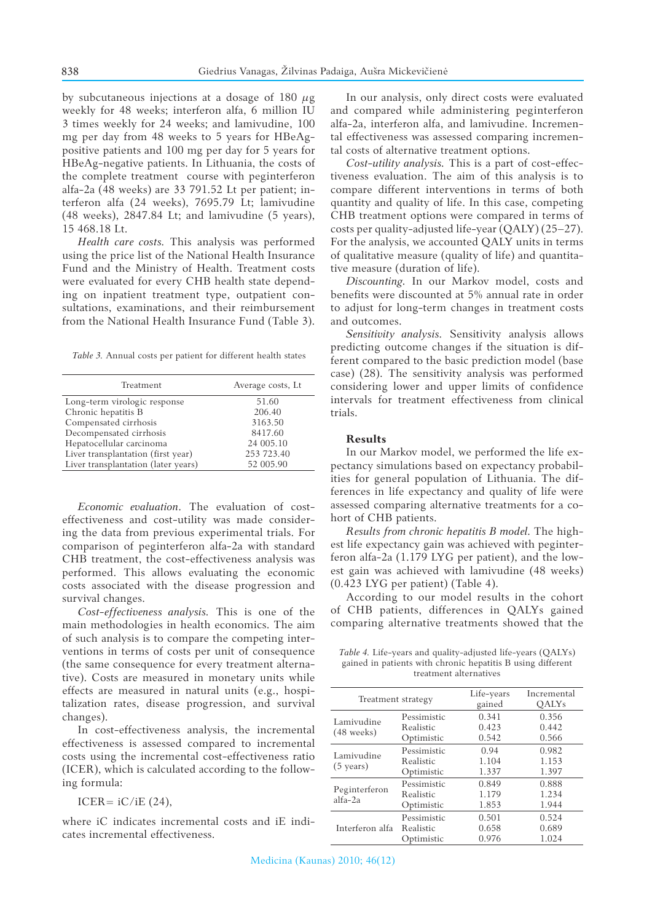by subcutaneous injections at a dosage of 180 *μ*g weekly for 48 weeks; interferon alfa, 6 million IU 3 times weekly for 24 weeks; and lamivudine, 100 mg per day from 48 weeks to 5 years for HBeAgpositive patients and 100 mg per day for 5 years for HBeAg-negative patients. In Lithuania, the costs of the complete treatment course with peginterferon alfa-2a (48 weeks) are 33 791.52 Lt per patient; interferon alfa (24 weeks), 7695.79 Lt; lamivudine (48 weeks), 2847.84 Lt; and lamivudine (5 years), 15 468.18 Lt.

*Health care costs.* This analysis was performed using the price list of the National Health Insurance Fund and the Ministry of Health. Treatment costs were evaluated for every CHB health state depending on inpatient treatment type, outpatient consultations, examinations, and their reimbursement from the National Health Insurance Fund (Table 3).

*Table 3.* Annual costs per patient for different health states

| Treatment                           | Average costs, Lt |
|-------------------------------------|-------------------|
| Long-term virologic response        | 51.60             |
| Chronic hepatitis B                 | 206.40            |
| Compensated cirrhosis               | 3163.50           |
| Decompensated cirrhosis             | 8417.60           |
| Hepatocellular carcinoma            | 24 005.10         |
| Liver transplantation (first year)  | 253 723.40        |
| Liver transplantation (later years) | 52 005.90         |

*Economic evaluation*. The evaluation of costeffectiveness and cost-utility was made considering the data from previous experimental trials. For comparison of peginterferon alfa-2a with standard CHB treatment, the cost-effectiveness analysis was performed. This allows evaluating the economic costs associated with the disease progression and survival changes.

*Cost-effectiveness analysis.* This is one of the main methodologies in health economics. The aim of such analysis is to compare the competing interventions in terms of costs per unit of consequence (the same consequence for every treatment alternative). Costs are measured in monetary units while effects are measured in natural units (e.g., hospitalization rates, disease progression, and survival changes).

In cost-effectiveness analysis, the incremental effectiveness is assessed compared to incremental costs using the incremental cost-effectiveness ratio (ICER), which is calculated according to the following formula:

ICER=  $iC/iE$  (24),

where iC indicates incremental costs and iE indicates incremental effectiveness.

In our analysis, only direct costs were evaluated and compared while administering peginterferon alfa-2a, interferon alfa, and lamivudine. Incremental effectiveness was assessed comparing incremental costs of alternative treatment options.

*Cost-utility analysis.* This is a part of cost-effectiveness evaluation. The aim of this analysis is to compare different interventions in terms of both quantity and quality of life. In this case, competing CHB treatment options were compared in terms of costs per quality-adjusted life-year (QALY) (25–27). For the analysis, we accounted QALY units in terms of qualitative measure (quality of life) and quantitative measure (duration of life).

*Discounting.* In our Markov model, costs and benefits were discounted at 5% annual rate in order to adjust for long-term changes in treatment costs and outcomes.

*Sensitivity analysis.* Sensitivity analysis allows predicting outcome changes if the situation is different compared to the basic prediction model (base case) (28). The sensitivity analysis was performed considering lower and upper limits of confidence intervals for treatment effectiveness from clinical trials.

#### **Results**

In our Markov model, we performed the life expectancy simulations based on expectancy probabilities for general population of Lithuania. The differences in life expectancy and quality of life were assessed comparing alternative treatments for a cohort of CHB patients.

*Results from chronic hepatitis B model.* The highest life expectancy gain was achieved with peginterferon alfa-2a (1.179 LYG per patient), and the lowest gain was achieved with lamivudine (48 weeks) (0.423 LYG per patient) (Table 4).

According to our model results in the cohort of CHB patients, differences in QALYs gained comparing alternative treatments showed that the

*Table 4.* Life-years and quality-adjusted life-years (QALYs) gained in patients with chronic hepatitis B using different treatment alternatives

| Treatment strategy                |                                        | Life-years<br>gained    | Incremental<br><b>OALYs</b> |
|-----------------------------------|----------------------------------------|-------------------------|-----------------------------|
| Lamivudine<br>$(48$ weeks)        | Pessimistic<br>Realistic<br>Optimistic | 0.341<br>0.423<br>0.542 | 0.356<br>0.442<br>0.566     |
| Lamivudine<br>$(5 \text{ years})$ | Pessimistic<br>Realistic<br>Optimistic | 0.94<br>1.104<br>1.337  | 0.982<br>1.153<br>1.397     |
| Peginterferon<br>$a$ lfa-2a       | Pessimistic<br>Realistic<br>Optimistic | 0.849<br>1.179<br>1.853 | 0.888<br>1.234<br>1.944     |
| Interferon alfa                   | Pessimistic<br>Realistic<br>Optimistic | 0.501<br>0.658<br>0.976 | 0.524<br>0.689<br>1.024     |

Medicina (Kaunas) 2010; 46(12)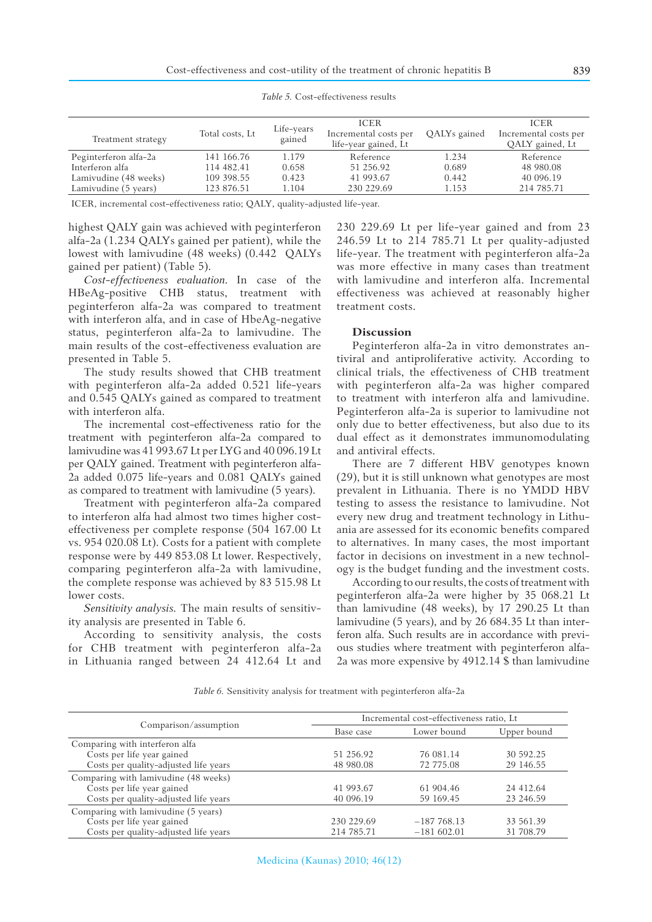| Treatment strategy    | Total costs, Lt | Life-years<br>gained | <b>ICER</b><br>Incremental costs per<br>life-year gained, Lt | QALYs gained | <b>ICER</b><br>Incremental costs per<br>QALY gained, Lt |
|-----------------------|-----------------|----------------------|--------------------------------------------------------------|--------------|---------------------------------------------------------|
| Peginterferon alfa-2a | 141 166.76      | 1.179                | Reference                                                    | 1.234        | Reference                                               |
| Interferon alfa       | 114 482.41      | 0.658                | 51 256.92                                                    | 0.689        | 48 980.08                                               |
| Lamivudine (48 weeks) | 109 398.55      | 0.423                | 41 993.67                                                    | 0.442        | 40 096.19                                               |
| Lamivudine (5 years)  | 123 876.51      | 1.104                | 230 229.69                                                   | 1.153        | 214 785.71                                              |

*Table 5.* Cost-effectiveness results

ICER, incremental cost-effectiveness ratio; QALY, quality-adjusted life-year.

highest QALY gain was achieved with peginterferon alfa-2a (1.234 QALYs gained per patient), while the lowest with lamivudine (48 weeks) (0.442 QALYs gained per patient) (Table 5).

*Cost-effectiveness evaluation.* In case of the HBeAg-positive CHB status, treatment with peginterferon alfa-2a was compared to treatment with interferon alfa, and in case of HbeAg-negative status, peginterferon alfa-2a to lamivudine. The main results of the cost-effectiveness evaluation are presented in Table 5.

The study results showed that CHB treatment with peginterferon alfa-2a added 0.521 life-years and 0.545 QALYs gained as compared to treatment with interferon alfa.

The incremental cost-effectiveness ratio for the treatment with peginterferon alfa-2a compared to lamivudine was 41 993.67 Lt per LYG and 40 096.19 Lt per QALY gained. Treatment with peginterferon alfa-2a added 0.075 life-years and 0.081 QALYs gained as compared to treatment with lamivudine (5 years).

Treatment with peginterferon alfa-2a compared to interferon alfa had almost two times higher costeffectiveness per complete response (504 167.00 Lt vs. 954 020.08 Lt). Costs for a patient with complete response were by 449 853.08 Lt lower. Respectively, comparing peginterferon alfa-2a with lamivudine, the complete response was achieved by 83 515.98 Lt lower costs.

*Sensitivity analysis.* The main results of sensitivity analysis are presented in Table 6.

According to sensitivity analysis, the costs for CHB treatment with peginterferon alfa-2a in Lithuania ranged between 24 412.64 Lt and 230 229.69 Lt per life-year gained and from 23 246.59 Lt to 214 785.71 Lt per quality-adjusted life-year. The treatment with peginterferon alfa-2a was more effective in many cases than treatment with lamivudine and interferon alfa. Incremental effectiveness was achieved at reasonably higher treatment costs.

### **Discussion**

Peginterferon alfa-2a in vitro demonstrates antiviral and antiproliferative activity. According to clinical trials, the effectiveness of CHB treatment with peginterferon alfa-2a was higher compared to treatment with interferon alfa and lamivudine. Peginterferon alfa-2a is superior to lamivudine not only due to better effectiveness, but also due to its dual effect as it demonstrates immunomodulating and antiviral effects.

There are 7 different HBV genotypes known (29), but it is still unknown what genotypes are most prevalent in Lithuania. There is no YMDD HBV testing to assess the resistance to lamivudine. Not every new drug and treatment technology in Lithuania are assessed for its economic benefits compared to alternatives. In many cases, the most important factor in decisions on investment in a new technology is the budget funding and the investment costs.

According to our results, the costs of treatment with peginterferon alfa-2a were higher by 35 068.21 Lt than lamivudine (48 weeks), by 17 290.25 Lt than lamivudine (5 years), and by 26 684.35 Lt than interferon alfa. Such results are in accordance with previous studies where treatment with peginterferon alfa-2a was more expensive by 4912.14 \$ than lamivudine

*Table 6.* Sensitivity analysis for treatment with peginterferon alfa-2a

|                                       | Incremental cost-effectiveness ratio, Lt |              |             |  |
|---------------------------------------|------------------------------------------|--------------|-------------|--|
| Comparison/assumption                 | Base case                                | Lower bound  | Upper bound |  |
| Comparing with interferon alfa        |                                          |              |             |  |
| Costs per life year gained            | 51 256.92                                | 76 081.14    | 30 592.25   |  |
| Costs per quality-adjusted life years | 48 980.08                                | 72 775.08    | 29 146.55   |  |
| Comparing with lamivudine (48 weeks)  |                                          |              |             |  |
| Costs per life year gained            | 41 993.67                                | 61 904.46    | 24 412.64   |  |
| Costs per quality-adjusted life years | 40 096.19                                | 59 169.45    | 23 246.59   |  |
| Comparing with lamivudine (5 years)   |                                          |              |             |  |
| Costs per life year gained            | 230 229.69                               | $-187768.13$ | 33 561.39   |  |
| Costs per quality-adjusted life years | 214 785.71                               | $-181602.01$ | 31 708.79   |  |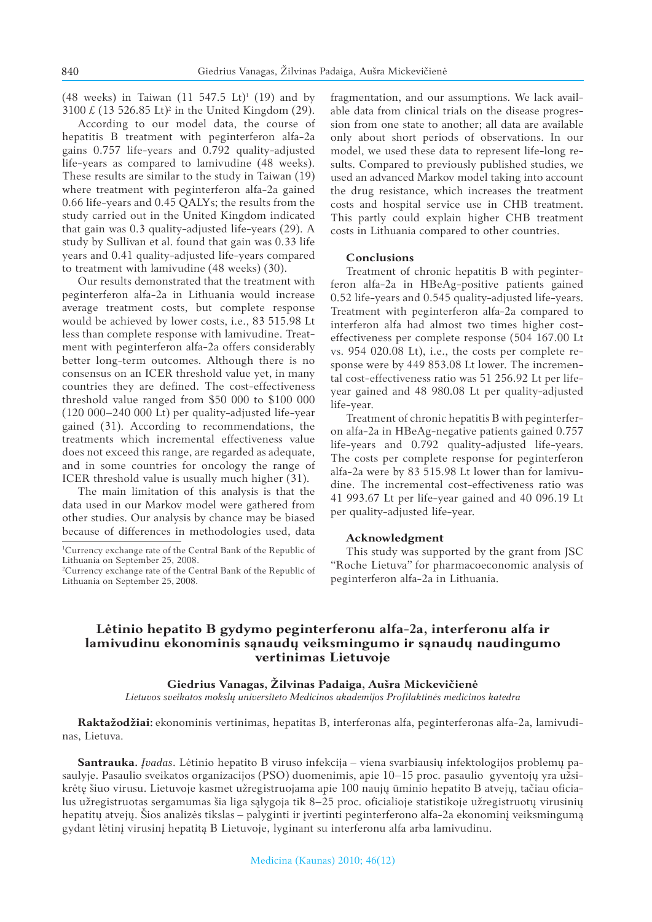(48 weeks) in Taiwan  $(11\ 547.5\ \text{Lt})$ <sup>1</sup>  $(19)$  and by 3100  $\pounds$  (13 526.85 Lt)<sup>2</sup> in the United Kingdom (29).

According to our model data, the course of hepatitis B treatment with peginterferon alfa-2a gains 0.757 life-years and 0.792 quality-adjusted life-years as compared to lamivudine (48 weeks). These results are similar to the study in Taiwan (19) where treatment with peginterferon alfa-2a gained 0.66 life-years and 0.45 QALYs; the results from the study carried out in the United Kingdom indicated that gain was 0.3 quality-adjusted life-years (29). A study by Sullivan et al. found that gain was 0.33 life years and 0.41 quality-adjusted life-years compared to treatment with lamivudine (48 weeks) (30).

Our results demonstrated that the treatment with peginterferon alfa-2a in Lithuania would increase average treatment costs, but complete response would be achieved by lower costs, i.e., 83 515.98 Lt less than complete response with lamivudine. Treatment with peginterferon alfa-2a offers considerably better long-term outcomes. Although there is no consensus on an ICER threshold value yet, in many countries they are defined. The cost-effectiveness threshold value ranged from \$50 000 to \$100 000 (120 000–240 000 Lt) per quality-adjusted life-year gained (31). According to recommendations, the treatments which incremental effectiveness value does not exceed this range, are regarded as adequate, and in some countries for oncology the range of ICER threshold value is usually much higher (31).

The main limitation of this analysis is that the data used in our Markov model were gathered from other studies. Our analysis by chance may be biased because of differences in methodologies used, data fragmentation, and our assumptions. We lack available data from clinical trials on the disease progression from one state to another; all data are available only about short periods of observations. In our model, we used these data to represent life-long results. Compared to previously published studies, we used an advanced Markov model taking into account the drug resistance, which increases the treatment costs and hospital service use in CHB treatment. This partly could explain higher CHB treatment costs in Lithuania compared to other countries.

# **Conclusions**

Treatment of chronic hepatitis B with peginterferon alfa-2a in HBeAg-positive patients gained 0.52 life-years and 0.545 quality-adjusted life-years. Treatment with peginterferon alfa-2a compared to interferon alfa had almost two times higher costeffectiveness per complete response (504 167.00 Lt vs. 954 020.08 Lt), i.e., the costs per complete response were by 449 853.08 Lt lower. The incremental cost-effectiveness ratio was 51 256.92 Lt per lifeyear gained and 48 980.08 Lt per quality-adjusted life-year.

Treatment of chronic hepatitis B with peginterferon alfa-2a in HBeAg-negative patients gained 0.757 life-years and 0.792 quality-adjusted life-years. The costs per complete response for peginterferon alfa-2a were by 83 515.98 Lt lower than for lamivudine. The incremental cost-effectiveness ratio was 41 993.67 Lt per life-year gained and 40 096.19 Lt per quality-adjusted life-year.

#### **Acknowledgment**

This study was supported by the grant from JSC "Roche Lietuva" for pharmacoeconomic analysis of peginterferon alfa-2a in Lithuania.

# **Lėtinio hepatito B gydymo peginterferonu alfa-2a, interferonu alfa ir lamivudinu ekonominis sąnaudų veiksmingumo ir sąnaudų naudingumo vertinimas Lietuvoje**

#### **Giedrius Vanagas, Žilvinas Padaiga, Aušra Mickevičienė**

*Lietuvos sveikatos mokslų universiteto Medicinos akademijos Profilaktinės medicinos katedra*

**Raktažodžiai:** ekonominis vertinimas, hepatitas B, interferonas alfa, peginterferonas alfa-2a, lamivudinas, Lietuva.

**Santrauka.** *Įvadas*. Lėtinio hepatito B viruso infekcija – viena svarbiausių infektologijos problemų pasaulyje. Pasaulio sveikatos organizacijos (PSO) duomenimis, apie 10–15 proc. pasaulio gyventojų yra užsikrėtę šiuo virusu. Lietuvoje kasmet užregistruojama apie 100 naujų ūminio hepatito B atvejų, tačiau oficialus užregistruotas sergamumas šia liga sąlygoja tik 8 –25 proc. ofi cialioje statistikoje užregistruotų virusinių hepatitų atvejų. Šios analizės tikslas – palyginti ir įvertinti peginterferono alfa-2a ekonominį veiksmingumą gydant lėtinį virusinį hepatitą B Lietuvoje, lyginant su interferonu alfa arba lamivudinu.

<sup>1</sup> Currency exchange rate of the Central Bank of the Republic of Lithuania on September 25, 2008.

<sup>2</sup> Currency exchange rate of the Central Bank of the Republic of Lithuania on September 25, 2008.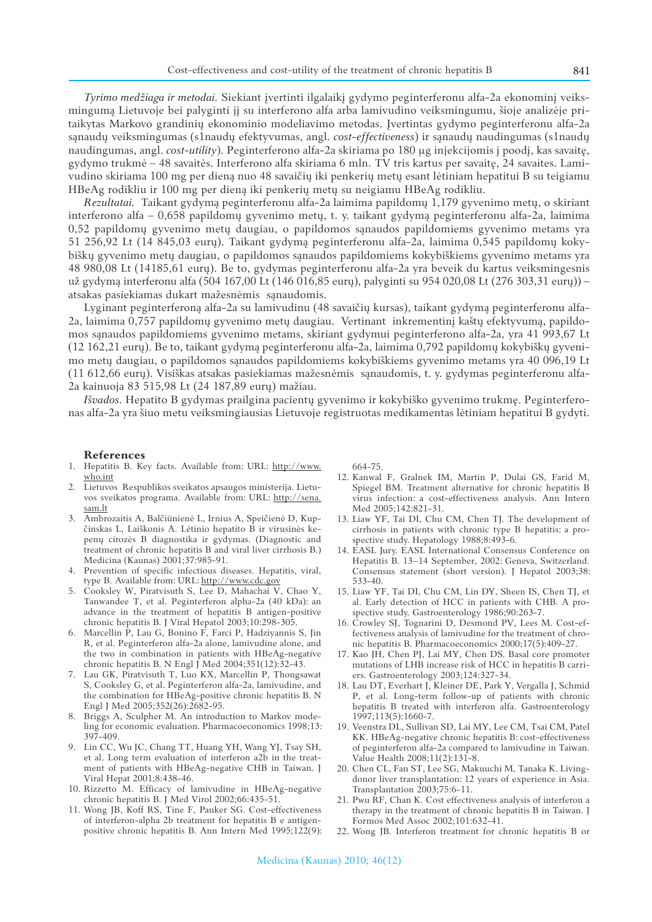*Tyrimo medžiaga ir metodai.* Siekiant įvertinti ilgalaikį gydymo peginterferonu alfa-2a ekonominį veiksmingumą Lietuvoje bei palyginti jį su interferono alfa arba lamivudino veiksmingumu, šioje analizėje pritaikytas Markovo grandinių ekonominio modeliavimo metodas. Įvertintas gydymo peginterferonu alfa-2a sąnaudų veiksmingumas (s1naudų efektyvumas, angl. *cost-effectiveness*) ir sąnaudų naudingumas (s1naudų naudingumas, angl. *cost-utility*). Peginterferono alfa-2a skiriama po 180 μg injekcijomis į poodį, kas savaitę, gydymo trukmė – 48 savaitės. Interferono alfa skiriama 6 mln. TV tris kartus per savaitę, 24 savaites. Lamivudino skiriama 100 mg per dieną nuo 48 savaičių iki penkerių metų esant lėtiniam hepatitui B su teigiamu HBeAg rodikliu ir 100 mg per dieną iki penkerių metų su neigiamu HBeAg rodikliu.

*Rezultatai.*Taikant gydymą peginterferonu alfa-2a laimima papildomų 1,179 gyvenimo metų, o skiriant interferono alfa – 0,658 papildomų gyvenimo metų, t. y. taikant gydymą peginterferonu alfa-2a, laimima 0,52 papildomų gyvenimo metų daugiau, o papildomos sąnaudos papildomiems gyvenimo metams yra 51 256,92 Lt (14 845,03 eurų). Taikant gydymą peginterferonu alfa-2a, laimima 0,545 papildomų kokybiškų gyvenimo metų daugiau, o papildomos sąnaudos papildomiems kokybiškiems gyvenimo metams yra 48 980,08 Lt (14185,61 eurų). Be to, gydymas peginterferonu alfa-2a yra beveik du kartus veiksmingesnis už gydymą interferonu alfa (504 167,00 Lt (146 016,85 eurų), palyginti su 954 020,08 Lt (276 303,31 eurų)) – atsakas pasiekiamas dukart mažesnėmis sąnaudomis.

Lyginant peginterferoną alfa-2a su lamivudinu (48 savaičių kursas), taikant gydymą peginterferonu alfa-2a, laimima 0,757 papildomų gyvenimo metų daugiau. Vertinant inkrementinį kaštų efektyvumą, papildomos sąnaudos papildomiems gyvenimo metams, skiriant gydymui peginterferono alfa-2a, yra 41 993,67 Lt (12 162,21 eurų). Be to, taikant gydymą peginterferonu alfa-2a, laimima 0,792 papildomų kokybiškų gyvenimo metų daugiau, o papildomos sąnaudos papildomiems kokybiškiems gyvenimo metams yra 40 096,19 Lt (11 612,66 eurų). Visiškas atsakas pasiekiamas mažesnėmis sąnaudomis, t. y. gydymas peginterferonu alfa-2a kainuoja 83 515,98 Lt (24 187,89 eurų) mažiau.

*Išvados.* Hepatito B gydymas prailgina pacientų gyvenimo ir kokybiško gyvenimo trukmę. Peginterferonas alfa-2a yra šiuo metu veiksmingiausias Lietuvoje registruotas medikamentas lėtiniam hepatitui B gydyti.

#### **References**

- 1. Hepatitis B. Key facts. Available from: URL: http://www. who.int
- 2. Lietuvos Respublikos sveikatos apsaugos ministerija. Lietuvos sveikatos programa. Available from: URL: http://sena. sam.lt
- 3. Ambrozaitis A, Balčiūnienė L, Irnius A, Speičienė D, Kupčinskas L, Laiškonis A. Lėtinio hepatito B ir virusinės kepenų cirozės B diagnostika ir gydymas. (Diagnostic and treatment of chronic hepatitis B and viral liver cirrhosis B.) Medicina (Kaunas) 2001;37:985-91.
- 4. Prevention of specific infectious diseases. Hepatitis, viral, type B. Available from: URL: http://www.cdc.gov
- 5. Cooksley W, Piratvisuth S, Lee D, Mahachai V, Chao Y, Tanwandee T, et al. Peginterferon alpha-2a (40 kDa): an advance in the treatment of hepatitis B antigen-positive chronic hepatitis B. J Viral Hepatol 2003;10:298-305.
- 6. Marcellin P, Lau G, Bonino F, Farci P, Hadziyannis S, Jin R, et al. Peginterferon alfa-2a alone, lamivudine alone, and the two in combination in patients with HBeAg-negative chronic hepatitis B. N Engl  $\int$  Med 2004;351(12):32-43.
- 7. Lau GK, Piratvisuth T, Luo KX, Marcellin P, Thongsawat S, Cooksley G, et al. Peginterferon alfa-2a, lamivudine, and the combination for HBeAg-positive chronic hepatitis B. N Engl J Med 2005;352(26):2682-95.
- 8. Briggs A, Sculpher M. An introduction to Markov modeling for economic evaluation. Pharmacoeconomics 1998;13: 397-409.
- 9. Lin CC, Wu JC, Chang TT, Huang YH, Wang YJ, Tsay SH, et al. Long term evaluation of interferon a2b in the treatment of patients with HBeAg-negative CHB in Taiwan. J Viral Hepat 2001;8:438-46.
- 10. Rizzetto M. Efficacy of lamivudine in HBeAg-negative chronic hepatitis B. J Med Virol 2002;66:435-51.
- 11. Wong JB, Koff RS, Tine F, Pauker SG. Cost-effectiveness of interferon-alpha 2b treatment for hepatitis B e antigenpositive chronic hepatitis B. Ann Intern Med 1995;122(9):

664-75.

- 12. Kanwal F, Gralnek IM, Martin P, Dulai GS, Farid M, Spiegel BM. Treatment alternative for chronic hepatitis B virus infection: a cost-effectiveness analysis. Ann Intern Med 2005;142:821-31.
- 13. Liaw YF, Tai DI, Chu CM, Chen TJ. The development of cirrhosis in patients with chronic type B hepatitis: a prospective study. Hepatology 1988;8:493-6.
- 14. EASL Jury. EASL International Consensus Conference on Hepatitis B. 13-14 September, 2002: Geneva, Switzerland. Consensus statement (short version). J Hepatol 2003;38: 533-40.
- 15. Liaw YF, Tai DI, Chu CM, Lin DY, Sheen IS, Chen TJ, et al. Early detection of HCC in patients with CHB. A prospective study. Gastroenterology 1986;90:263-7.
- 16. Crowley SJ, Tognarini D, Desmond PV, Lees M. Cost-effectiveness analysis of lamivudine for the treatment of chronic hepatitis B. Pharmacoeconomics 2000;17(5):409-27.
- 17. Kao JH, Chen PJ, Lai MY, Chen DS. Basal core promoter mutations of LHB increase risk of HCC in hepatitis B carriers. Gastroenterology 2003;124:327-34.
- 18. Lau DT, Everhart J, Kleiner DE, Park Y, Vergalla J, Schmid P, et al. Long-term follow-up of patients with chronic hepatitis B treated with interferon alfa. Gastroenterology 1997;113(5):1660-7.
- 19. Veenstra DL, Sullivan SD, Lai MY, Lee CM, Tsai CM, Patel KK. HBeAg-negative chronic hepatitis B: cost-effectiveness of peginterferon alfa-2a compared to lamivudine in Taiwan. Value Health 2008;11(2):131-8.
- 20. Chen CL, Fan ST, Lee SG, Makuuchi M, Tanaka K. Livingdonor liver transplantation: 12 years of experience in Asia. Transplantation 2003;75:6-11.
- 21. Pwu RF, Chan K. Cost effectiveness analysis of interferon a therapy in the treatment of chronic hepatitis B in Taiwan. J Formos Med Assoc 2002;101:632-41.
- 22. Wong JB. Interferon treatment for chronic hepatitis B or